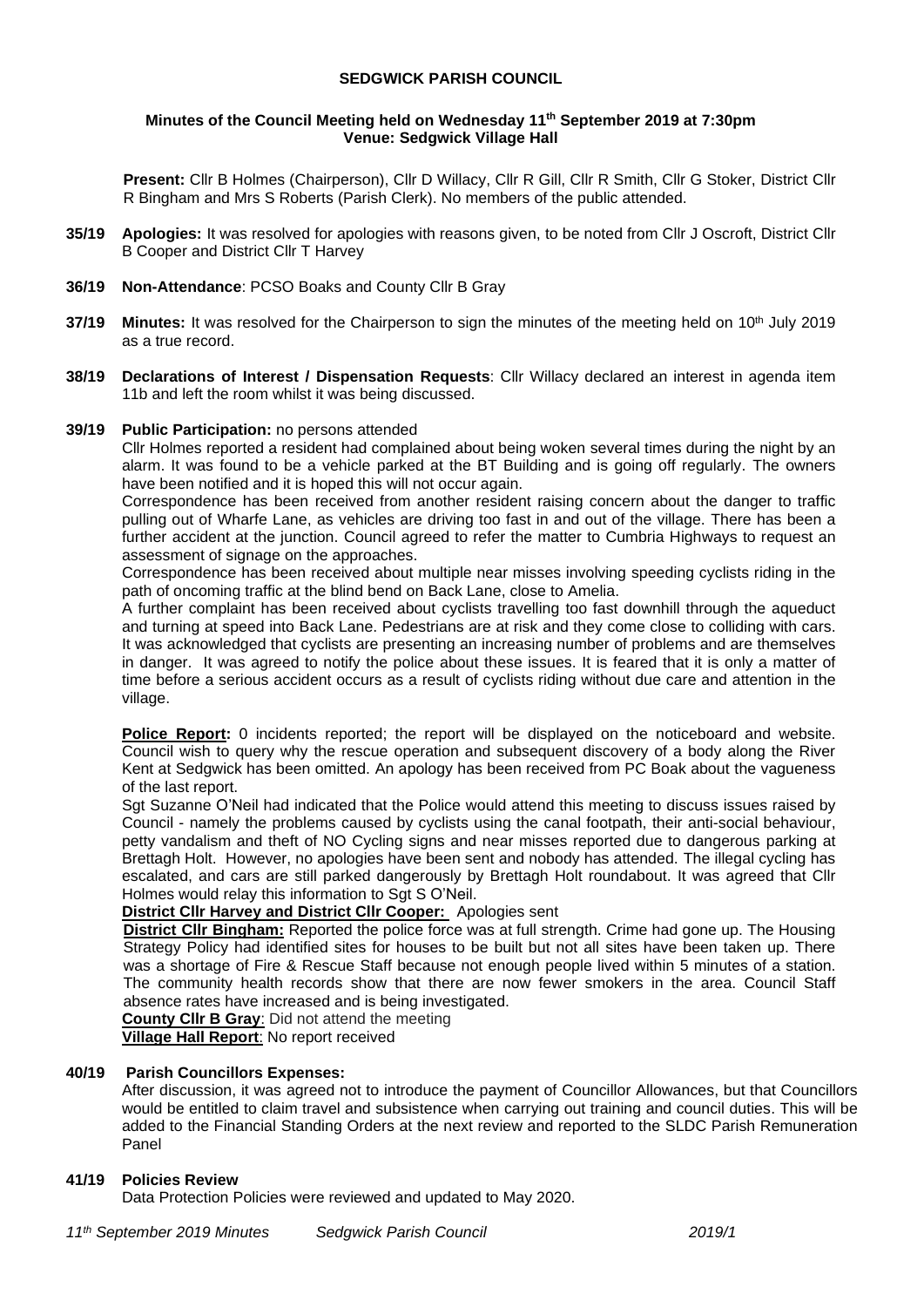# **SEDGWICK PARISH COUNCIL**

### **Minutes of the Council Meeting held on Wednesday 11 th September 2019 at 7:30pm Venue: Sedgwick Village Hall**

**Present:** Cllr B Holmes (Chairperson), Cllr D Willacy, Cllr R Gill, Cllr R Smith, Cllr G Stoker, District Cllr R Bingham and Mrs S Roberts (Parish Clerk). No members of the public attended.

- **35/19 Apologies:** It was resolved for apologies with reasons given, to be noted from Cllr J Oscroft, District Cllr B Cooper and District Cllr T Harvey
- **36/19 Non-Attendance**: PCSO Boaks and County Cllr B Gray
- **37/19 Minutes:** It was resolved for the Chairperson to sign the minutes of the meeting held on 10<sup>th</sup> July 2019 as a true record.
- **38/19 Declarations of Interest / Dispensation Requests**: Cllr Willacy declared an interest in agenda item 11b and left the room whilst it was being discussed.

#### **39/19 Public Participation:** no persons attended

Cllr Holmes reported a resident had complained about being woken several times during the night by an alarm. It was found to be a vehicle parked at the BT Building and is going off regularly. The owners have been notified and it is hoped this will not occur again.

Correspondence has been received from another resident raising concern about the danger to traffic pulling out of Wharfe Lane, as vehicles are driving too fast in and out of the village. There has been a further accident at the junction. Council agreed to refer the matter to Cumbria Highways to request an assessment of signage on the approaches.

Correspondence has been received about multiple near misses involving speeding cyclists riding in the path of oncoming traffic at the blind bend on Back Lane, close to Amelia.

A further complaint has been received about cyclists travelling too fast downhill through the aqueduct and turning at speed into Back Lane. Pedestrians are at risk and they come close to colliding with cars. It was acknowledged that cyclists are presenting an increasing number of problems and are themselves in danger. It was agreed to notify the police about these issues. It is feared that it is only a matter of time before a serious accident occurs as a result of cyclists riding without due care and attention in the village.

**Police Report:** 0 incidents reported; the report will be displayed on the noticeboard and website. Council wish to query why the rescue operation and subsequent discovery of a body along the River Kent at Sedgwick has been omitted. An apology has been received from PC Boak about the vagueness of the last report.

Sgt Suzanne O'Neil had indicated that the Police would attend this meeting to discuss issues raised by Council - namely the problems caused by cyclists using the canal footpath, their anti-social behaviour, petty vandalism and theft of NO Cycling signs and near misses reported due to dangerous parking at Brettagh Holt. However, no apologies have been sent and nobody has attended. The illegal cycling has escalated, and cars are still parked dangerously by Brettagh Holt roundabout. It was agreed that Cllr Holmes would relay this information to Sgt S O'Neil.

# **District Cllr Harvey and District Cllr Cooper:** Apologies sent

**District Cllr Bingham:** Reported the police force was at full strength. Crime had gone up. The Housing Strategy Policy had identified sites for houses to be built but not all sites have been taken up. There was a shortage of Fire & Rescue Staff because not enough people lived within 5 minutes of a station. The community health records show that there are now fewer smokers in the area. Council Staff absence rates have increased and is being investigated.

**County Cllr B Gray**: Did not attend the meeting

**Village Hall Report**: No report received

# **40/19 Parish Councillors Expenses:**

After discussion, it was agreed not to introduce the payment of Councillor Allowances, but that Councillors would be entitled to claim travel and subsistence when carrying out training and council duties. This will be added to the Financial Standing Orders at the next review and reported to the SLDC Parish Remuneration Panel

# **41/19 Policies Review**

Data Protection Policies were reviewed and updated to May 2020.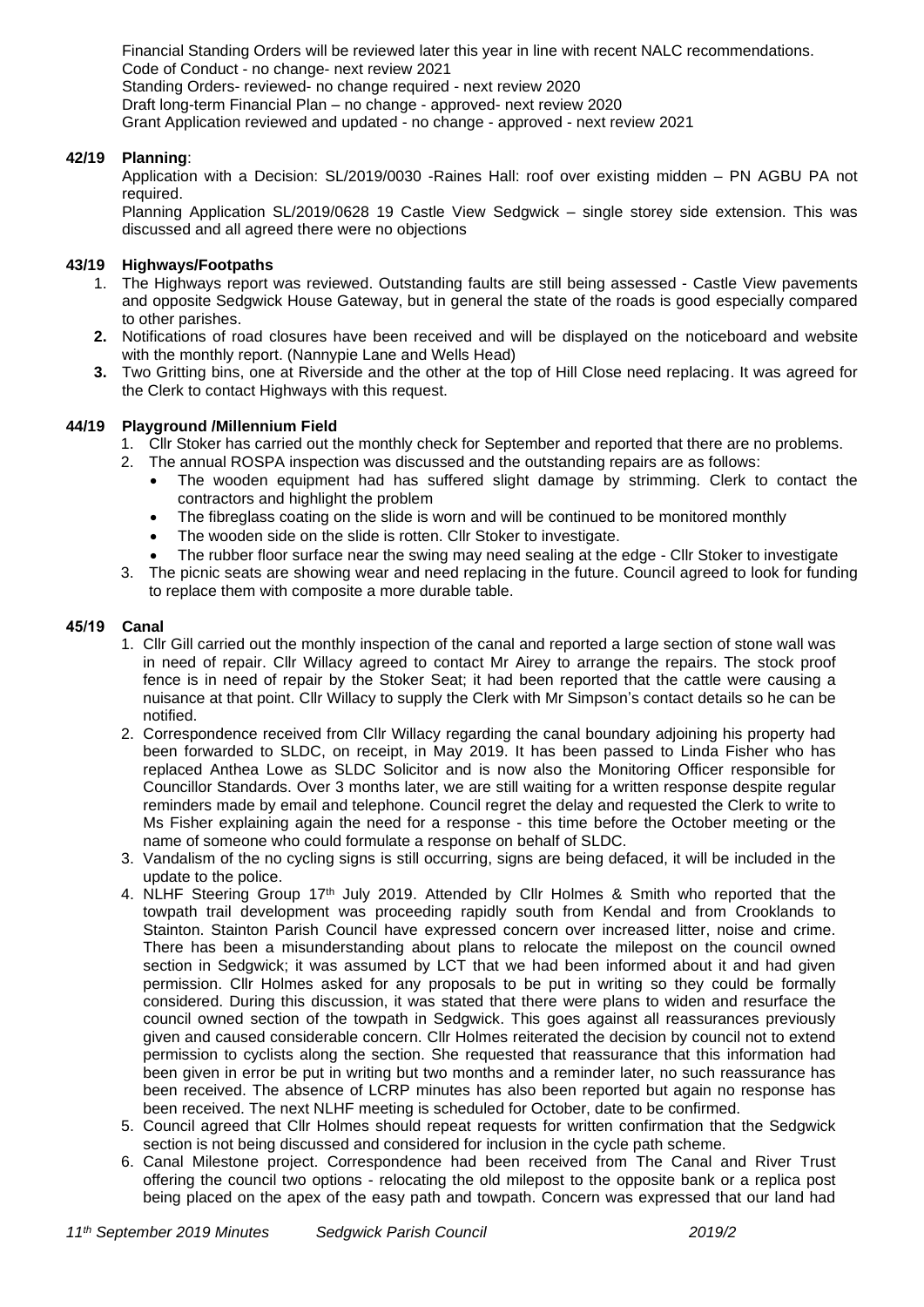Financial Standing Orders will be reviewed later this year in line with recent NALC recommendations. Code of Conduct - no change- next review 2021 Standing Orders- reviewed- no change required - next review 2020 Draft long-term Financial Plan – no change - approved- next review 2020 Grant Application reviewed and updated - no change - approved - next review 2021

# **42/19 Planning**:

Application with a Decision: SL/2019/0030 -Raines Hall: roof over existing midden – PN AGBU PA not required.

Planning Application SL/2019/0628 19 Castle View Sedgwick – single storey side extension. This was discussed and all agreed there were no objections

# **43/19 Highways/Footpaths**

- 1. The Highways report was reviewed. Outstanding faults are still being assessed Castle View pavements and opposite Sedgwick House Gateway, but in general the state of the roads is good especially compared to other parishes.
- **2.** Notifications of road closures have been received and will be displayed on the noticeboard and website with the monthly report. (Nannypie Lane and Wells Head)
- **3.** Two Gritting bins, one at Riverside and the other at the top of Hill Close need replacing. It was agreed for the Clerk to contact Highways with this request.

## **44/19 Playground /Millennium Field**

- 1. Cllr Stoker has carried out the monthly check for September and reported that there are no problems.
- 2. The annual ROSPA inspection was discussed and the outstanding repairs are as follows:
	- The wooden equipment had has suffered slight damage by strimming. Clerk to contact the contractors and highlight the problem
	- The fibreglass coating on the slide is worn and will be continued to be monitored monthly
	- The wooden side on the slide is rotten. Cllr Stoker to investigate.
	- The rubber floor surface near the swing may need sealing at the edge Cllr Stoker to investigate
- 3. The picnic seats are showing wear and need replacing in the future. Council agreed to look for funding to replace them with composite a more durable table.

#### **45/19 Canal**

- 1. Cllr Gill carried out the monthly inspection of the canal and reported a large section of stone wall was in need of repair. Cllr Willacy agreed to contact Mr Airey to arrange the repairs. The stock proof fence is in need of repair by the Stoker Seat; it had been reported that the cattle were causing a nuisance at that point. Cllr Willacy to supply the Clerk with Mr Simpson's contact details so he can be notified.
- 2. Correspondence received from Cllr Willacy regarding the canal boundary adjoining his property had been forwarded to SLDC, on receipt, in May 2019. It has been passed to Linda Fisher who has replaced Anthea Lowe as SLDC Solicitor and is now also the Monitoring Officer responsible for Councillor Standards. Over 3 months later, we are still waiting for a written response despite regular reminders made by email and telephone. Council regret the delay and requested the Clerk to write to Ms Fisher explaining again the need for a response - this time before the October meeting or the name of someone who could formulate a response on behalf of SLDC.
- 3. Vandalism of the no cycling signs is still occurring, signs are being defaced, it will be included in the update to the police.
- 4. NLHF Steering Group 17th July 2019. Attended by Cllr Holmes & Smith who reported that the towpath trail development was proceeding rapidly south from Kendal and from Crooklands to Stainton. Stainton Parish Council have expressed concern over increased litter, noise and crime. There has been a misunderstanding about plans to relocate the milepost on the council owned section in Sedgwick; it was assumed by LCT that we had been informed about it and had given permission. Cllr Holmes asked for any proposals to be put in writing so they could be formally considered. During this discussion, it was stated that there were plans to widen and resurface the council owned section of the towpath in Sedgwick. This goes against all reassurances previously given and caused considerable concern. Cllr Holmes reiterated the decision by council not to extend permission to cyclists along the section. She requested that reassurance that this information had been given in error be put in writing but two months and a reminder later, no such reassurance has been received. The absence of LCRP minutes has also been reported but again no response has been received. The next NLHF meeting is scheduled for October, date to be confirmed.
- 5. Council agreed that Cllr Holmes should repeat requests for written confirmation that the Sedgwick section is not being discussed and considered for inclusion in the cycle path scheme.
- 6. Canal Milestone project. Correspondence had been received from The Canal and River Trust offering the council two options - relocating the old milepost to the opposite bank or a replica post being placed on the apex of the easy path and towpath. Concern was expressed that our land had